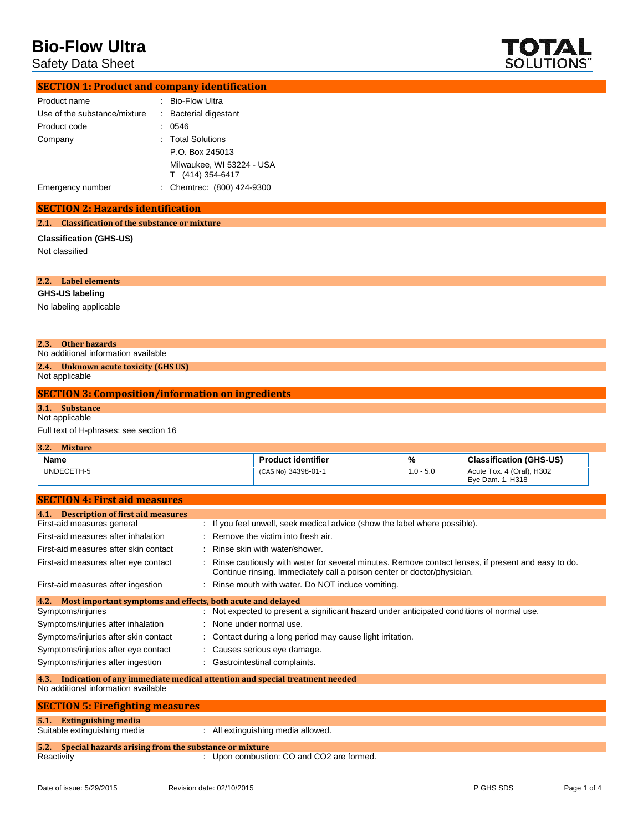Safety Data Sheet



| <b>SECTION 1: Product and company identification</b> |  |                                               |  |
|------------------------------------------------------|--|-----------------------------------------------|--|
| Product name                                         |  | : Bio-Flow Ultra                              |  |
| Use of the substance/mixture                         |  | : Bacterial digestant                         |  |
| Product code                                         |  | 0546                                          |  |
| Company                                              |  | : Total Solutions                             |  |
|                                                      |  | P.O. Box 245013                               |  |
|                                                      |  | Milwaukee, WI 53224 - USA<br>T (414) 354-6417 |  |
| Emergency number                                     |  | : Chemtrec: (800) 424-9300                    |  |

#### **SECTION 2: Hazards identification**

#### **2.1. Classification of the substance or mixture**

**Classification (GHS-US)** Not classified

#### **2.2. Label elements**

**GHS-US labeling**

No labeling applicable

#### **2.3. Other hazards**

No additional information available

### **2.4. Unknown acute toxicity (GHS US)**

Not applicable

#### **SECTION 3: Composition/information on ingredients**

**3.1. Substance**

## Not applicable

Full text of H-phrases: see section 16

| 3.2.<br><b>Mixture</b> |                           |             |                                               |
|------------------------|---------------------------|-------------|-----------------------------------------------|
| Name                   | <b>Product identifier</b> | %           | <b>Classification (GHS-US)</b>                |
| UNDECETH-5             | (CAS No) 34398-01-1       | $1.0 - 5.0$ | Acute Tox. 4 (Oral), H302<br>Eye Dam. 1, H318 |

| <b>SECTION 4: First aid measures</b>                                |                                                                                                                                                                               |  |
|---------------------------------------------------------------------|-------------------------------------------------------------------------------------------------------------------------------------------------------------------------------|--|
| <b>Description of first aid measures</b><br>4.1.                    |                                                                                                                                                                               |  |
| First-aid measures general                                          | : If you feel unwell, seek medical advice (show the label where possible).                                                                                                    |  |
| First-aid measures after inhalation                                 | : Remove the victim into fresh air.                                                                                                                                           |  |
| First-aid measures after skin contact                               | : Rinse skin with water/shower.                                                                                                                                               |  |
| First-aid measures after eye contact                                | Rinse cautiously with water for several minutes. Remove contact lenses, if present and easy to do.<br>Continue rinsing. Immediately call a poison center or doctor/physician. |  |
| First-aid measures after ingestion                                  | : Rinse mouth with water. Do NOT induce vomiting.                                                                                                                             |  |
| Most important symptoms and effects, both acute and delayed<br>4.2. |                                                                                                                                                                               |  |
| Symptoms/injuries                                                   | : Not expected to present a significant hazard under anticipated conditions of normal use.                                                                                    |  |
| Symptoms/injuries after inhalation                                  | : None under normal use.                                                                                                                                                      |  |
| Symptoms/injuries after skin contact                                | : Contact during a long period may cause light irritation.                                                                                                                    |  |
| Symptoms/injuries after eye contact                                 | : Causes serious eye damage.                                                                                                                                                  |  |
| Symptoms/injuries after ingestion                                   | : Gastrointestinal complaints.                                                                                                                                                |  |
| 4.3.                                                                | Indication of any immediate medical attention and special treatment needed                                                                                                    |  |
| No additional information available                                 |                                                                                                                                                                               |  |
| <b>SECTION 5: Firefighting measures</b>                             |                                                                                                                                                                               |  |
| <b>Extinguishing media</b><br>5.1.                                  |                                                                                                                                                                               |  |
| Suitable extinguishing media                                        | : All extinguishing media allowed.                                                                                                                                            |  |

# **5.2. Special hazards arising from the substance or mixture**

: Upon combustion: CO and CO2 are formed.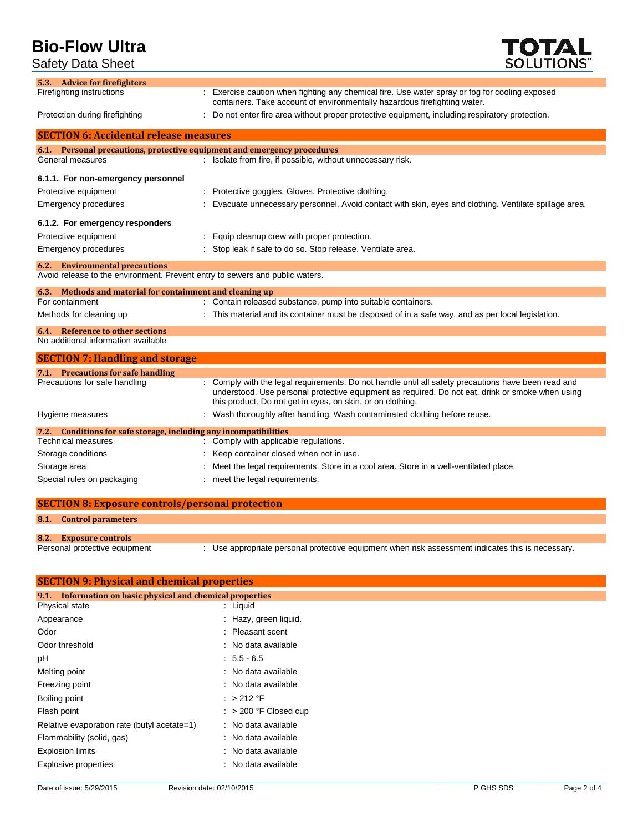Safety Data Sheet

**TOTAL**<br>SOLUTIONS"

| 5.3. Advice for firefighters                                                   |                                                                                                                                                                                                                                                                       |
|--------------------------------------------------------------------------------|-----------------------------------------------------------------------------------------------------------------------------------------------------------------------------------------------------------------------------------------------------------------------|
| Firefighting instructions                                                      | : Exercise caution when fighting any chemical fire. Use water spray or fog for cooling exposed<br>containers. Take account of environmentally hazardous firefighting water.                                                                                           |
| Protection during firefighting                                                 | : Do not enter fire area without proper protective equipment, including respiratory protection.                                                                                                                                                                       |
| <b>SECTION 6: Accidental release measures</b>                                  |                                                                                                                                                                                                                                                                       |
|                                                                                | 6.1. Personal precautions, protective equipment and emergency procedures                                                                                                                                                                                              |
| General measures                                                               | : Isolate from fire, if possible, without unnecessary risk.                                                                                                                                                                                                           |
| 6.1.1. For non-emergency personnel                                             |                                                                                                                                                                                                                                                                       |
| Protective equipment                                                           | Protective goggles. Gloves. Protective clothing.                                                                                                                                                                                                                      |
| Emergency procedures                                                           | Evacuate unnecessary personnel. Avoid contact with skin, eyes and clothing. Ventilate spillage area.                                                                                                                                                                  |
| 6.1.2. For emergency responders                                                |                                                                                                                                                                                                                                                                       |
| Protective equipment                                                           | Equip cleanup crew with proper protection.                                                                                                                                                                                                                            |
| <b>Emergency procedures</b>                                                    | : Stop leak if safe to do so. Stop release. Ventilate area.                                                                                                                                                                                                           |
| <b>6.2.</b> Environmental precautions                                          |                                                                                                                                                                                                                                                                       |
|                                                                                | Avoid release to the environment. Prevent entry to sewers and public waters.                                                                                                                                                                                          |
| 6.3. Methods and material for containment and cleaning up<br>For containment   |                                                                                                                                                                                                                                                                       |
|                                                                                | : Contain released substance, pump into suitable containers.                                                                                                                                                                                                          |
| Methods for cleaning up                                                        | : This material and its container must be disposed of in a safe way, and as per local legislation.                                                                                                                                                                    |
| <b>6.4.</b> Reference to other sections<br>No additional information available |                                                                                                                                                                                                                                                                       |
| <b>SECTION 7: Handling and storage</b>                                         |                                                                                                                                                                                                                                                                       |
| 7.1. Precautions for safe handling                                             |                                                                                                                                                                                                                                                                       |
| Precautions for safe handling                                                  | : Comply with the legal requirements. Do not handle until all safety precautions have been read and<br>understood. Use personal protective equipment as required. Do not eat, drink or smoke when using<br>this product. Do not get in eyes, on skin, or on clothing. |
| Hygiene measures                                                               | : Wash thoroughly after handling. Wash contaminated clothing before reuse.                                                                                                                                                                                            |
| 7.2. Conditions for safe storage, including any incompatibilities              |                                                                                                                                                                                                                                                                       |
| <b>Technical measures</b>                                                      | : Comply with applicable regulations.                                                                                                                                                                                                                                 |
| Storage conditions                                                             | Keep container closed when not in use.                                                                                                                                                                                                                                |
| Storage area                                                                   | Meet the legal requirements. Store in a cool area. Store in a well-ventilated place.                                                                                                                                                                                  |
| Special rules on packaging                                                     | meet the legal requirements.                                                                                                                                                                                                                                          |
| <b>SECTION 8: Exposure controls/personal protection</b>                        |                                                                                                                                                                                                                                                                       |
|                                                                                |                                                                                                                                                                                                                                                                       |

# **8.1. Control parameters**

**8.2. Exposure controls**

: Use appropriate personal protective equipment when risk assessment indicates this is necessary.

| <b>SECTION 9: Physical and chemical properties</b>            |                         |  |
|---------------------------------------------------------------|-------------------------|--|
| Information on basic physical and chemical properties<br>9.1. |                         |  |
| Physical state                                                | : Liquid                |  |
| Appearance                                                    | : Hazy, green liquid.   |  |
| Odor                                                          | : Pleasant scent        |  |
| Odor threshold                                                | : No data available     |  |
| рH                                                            | $: 5.5 - 6.5$           |  |
| Melting point                                                 | : No data available     |  |
| Freezing point                                                | : No data available     |  |
| Boiling point                                                 | : $>212$ °F             |  |
| Flash point                                                   | $:$ > 200 °F Closed cup |  |
| Relative evaporation rate (butyl acetate=1)                   | : No data available     |  |
| Flammability (solid, gas)                                     | : No data available     |  |
| <b>Explosion limits</b>                                       | : No data available     |  |
| <b>Explosive properties</b>                                   | : No data available     |  |
|                                                               |                         |  |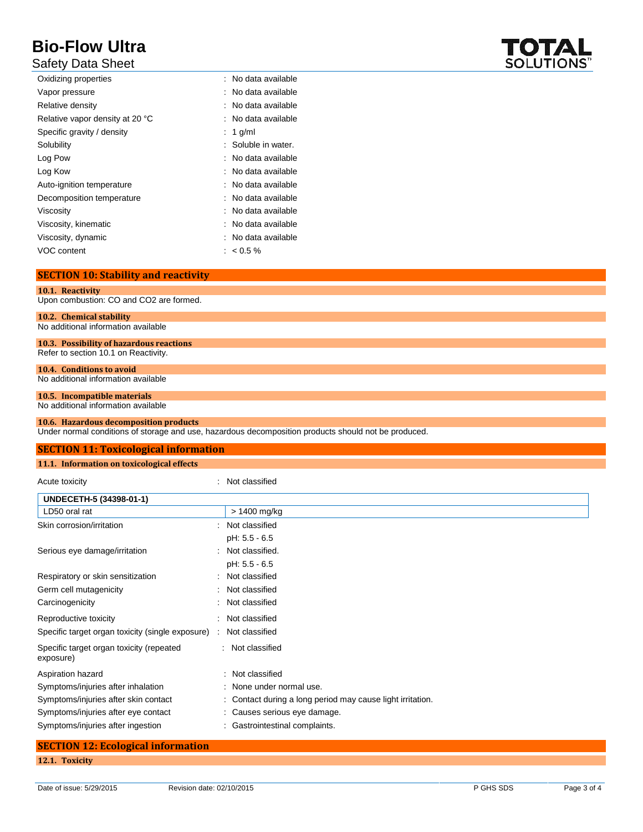## Safety Data Sheet

| Oxidizing properties            | : No data available |
|---------------------------------|---------------------|
| Vapor pressure                  | : No data available |
| Relative density                | : No data available |
| Relative vapor density at 20 °C | : No data available |
| Specific gravity / density      | : 1 g/ml            |
| Solubility                      | : Soluble in water. |
| Log Pow                         | : No data available |
| Log Kow                         | : No data available |
| Auto-ignition temperature       | : No data available |
| Decomposition temperature       | : No data available |
| Viscosity                       | : No data available |
| Viscosity, kinematic            | : No data available |
| Viscosity, dynamic              | : No data available |
| VOC content                     | $: 60.5\%$          |

#### **SECTION 10: Stability and reactivity**

**10.1. Reactivity** Upon combustion: CO and CO2 are formed.

**10.2. Chemical stability**

No additional information available

#### **10.3. Possibility of hazardous reactions** Refer to section 10.1 on Reactivity.

**10.4. Conditions to avoid**

## No additional information available

#### **10.5. Incompatible materials** No additional information available

## **10.6. Hazardous decomposition products**

Under normal conditions of storage and use, hazardous decomposition products should not be produced.

| <b>SECTION 11: Toxicological information</b> |                |  |
|----------------------------------------------|----------------|--|
| 11.1. Information on toxicological effects   |                |  |
| Acute toxicity                               | Not classified |  |
| UNDECETH-5 (34398-01-1)                      |                |  |
| LD50 oral rat                                | > 1400 mg/kg   |  |
| Skin corrosion/irritation                    | Not classified |  |

|                                                       | pH: 5.5 - 6.5                                              |
|-------------------------------------------------------|------------------------------------------------------------|
| Serious eye damage/irritation                         | : Not classified.                                          |
|                                                       | pH: 5.5 - 6.5                                              |
| Respiratory or skin sensitization                     | : Not classified                                           |
| Germ cell mutagenicity                                | : Not classified                                           |
| Carcinogenicity                                       | : Not classified                                           |
| Reproductive toxicity                                 | : Not classified                                           |
| Specific target organ toxicity (single exposure)      | Not classified                                             |
| Specific target organ toxicity (repeated<br>exposure) | : Not classified                                           |
| Aspiration hazard                                     | : Not classified                                           |
| Symptoms/injuries after inhalation                    | : None under normal use.                                   |
| Symptoms/injuries after skin contact                  | : Contact during a long period may cause light irritation. |
| Symptoms/injuries after eye contact                   | : Causes serious eye damage.                               |
| Symptoms/injuries after ingestion                     | Gastrointestinal complaints.                               |

# **SECTION 12: Ecological information 12.1. Toxicity**